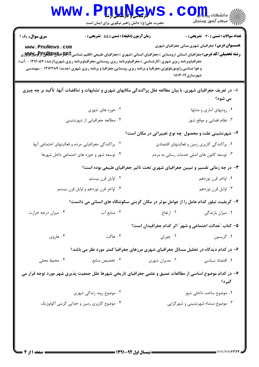|                                                                                                                                                                                                                                                                                                                              | www.Pnunews                                                                                                    |                                                       | الاد دانشڪاه پيا <mark>۾ لو</mark> ر<br>ا∜ مرڪز آزمون وسنڊش |  |  |  |
|------------------------------------------------------------------------------------------------------------------------------------------------------------------------------------------------------------------------------------------------------------------------------------------------------------------------------|----------------------------------------------------------------------------------------------------------------|-------------------------------------------------------|-------------------------------------------------------------|--|--|--|
|                                                                                                                                                                                                                                                                                                                              | حضرت علی(ع): دانش راهبر نیکویی برای ایمان است                                                                  |                                                       |                                                             |  |  |  |
| <b>سری سوال :</b> یک ۱                                                                                                                                                                                                                                                                                                       | زمان آزمون (دقیقه) : تستی : 55 تشریحی : 0                                                                      |                                                       | <b>تعداد سوالات : تستی : 30 ٪ تشریحی : 0</b>                |  |  |  |
| <b>عنـــوان درس:</b> جغرافیای شهری،مبانی جغرافیای شهری<br>www.PnuNews.com<br>جغرافیاوبرنامه ریزی شهری (کارشناسی )،جغرافیاوبرنامه ریزی روستایی،جغرافیاوبرنامه ریزی شهری(ارشد) ۱۲۱۶۰۵۷ - ،آب،(<br>و هوا شناسی،ژئومورفولوژی،جغرافیا و برنامه ریزی روستایی،جغرافیا و برنامه ریزی شهری (جدید) ۱۲۱۶۳۸۹ - ،مهندسی<br>شهرسازی۱۸۱۳۰۱۲ |                                                                                                                |                                                       |                                                             |  |  |  |
|                                                                                                                                                                                                                                                                                                                              | ۱– در تعریف جغرافیای شهری، با بیان مطالعه علل پراکندگی مکانهای شهری و تشابهات و تناقضات آنها، تأکید بر چه چیزی |                                                       | می شود؟                                                     |  |  |  |
|                                                                                                                                                                                                                                                                                                                              | ۰۲ حوزه های شهری                                                                                               |                                                       | ۰۱ روشهای آماری و مدلها                                     |  |  |  |
| ۰۴ مطالعه جغرافیایی از شهرنشینی                                                                                                                                                                                                                                                                                              |                                                                                                                | ۰۳ نظام فضایی و موقع شهر                              |                                                             |  |  |  |
|                                                                                                                                                                                                                                                                                                                              |                                                                                                                | ۲- شهرنشینی علت و محصول چه نوع تغییراتی در مکان است؟  |                                                             |  |  |  |
|                                                                                                                                                                                                                                                                                                                              | ۰۲ پراکندگی جغرافیایی مردم و فعالیتهای اجتماعی آنها                                                            |                                                       | ۰۱ پراکندگی کاربری زمین و فعالیتهای اقتصادی                 |  |  |  |
|                                                                                                                                                                                                                                                                                                                              | ۰۴ توسعه شهر و حوزه های اجتماعی داخل شهرها                                                                     | ۰۳ توسعه کانون های اصلی خدمات رسانی به مردم           |                                                             |  |  |  |
|                                                                                                                                                                                                                                                                                                                              | ۳- در چه زمانی تفسیر و تبیین جغرافیای شهری تحت تاثیر جغرافیای طبیعی بوده است؟                                  |                                                       |                                                             |  |  |  |
|                                                                                                                                                                                                                                                                                                                              | ۰۲ اوایل قرن بیستم                                                                                             |                                                       | ٠١. اواخر قرن نوزدهم                                        |  |  |  |
|                                                                                                                                                                                                                                                                                                                              | ۰۴ اواخر قرن نوزدهم و اوایل قرن بیستم                                                                          |                                                       | ۰۳ اوايل قرن نوزدهم                                         |  |  |  |
|                                                                                                                                                                                                                                                                                                                              | ۴- گریفیت تیلور کدام عامل را از عوامل موثر در مکان گزینی سکونتگاه های انسانی می دانست؟                         |                                                       |                                                             |  |  |  |
| ۰۴ میزان درجه حرارت                                                                                                                                                                                                                                                                                                          | ۰۳ منابع آب                                                                                                    | ۰۱ میزان بارندگی مسلسل ۲۰ ارتفاع                      |                                                             |  |  |  |
|                                                                                                                                                                                                                                                                                                                              |                                                                                                                | ۵– کتاب "عدالت اجتماعی و شهر" اثر کدام جغرافیدان است؟ |                                                             |  |  |  |
| ۰۴ هاروي                                                                                                                                                                                                                                                                                                                     | ۰۳ هاگت                                                                                                        | ۰۲ چورلی                                              | ۰۱ گريسون                                                   |  |  |  |
|                                                                                                                                                                                                                                                                                                                              | ۶– در کدام دیدگاه در تحلیل مسائل جغرافیای شهری مرزهای جغرافیا کمتر مورد نظر می باشد؟                           |                                                       |                                                             |  |  |  |
| ۰۴ محیط محلی                                                                                                                                                                                                                                                                                                                 | ۰۳ تخصیص منابع                                                                                                 | ۰۲ مدیران شهری                                        | ۰۱ اقتصاد سیاسی                                             |  |  |  |
| ۷– در کدام موضوع اساسی از مطالعات عمیق و علمی جغرافیای تاریخی شهرها علل جمعیت پذیری شهر مورد توجه قرار می<br>گيرد؟                                                                                                                                                                                                           |                                                                                                                |                                                       |                                                             |  |  |  |
|                                                                                                                                                                                                                                                                                                                              | ۰۲ موضوع روند زندگی شهری                                                                                       |                                                       | ۰۱ موضوع ساخت داخلی شهر                                     |  |  |  |
|                                                                                                                                                                                                                                                                                                                              | ۰۴ موضوع کاربری زمین و جدایی گزینی اکولوژیک                                                                    |                                                       | ۰۳ موضوع منشاء شهرنشینی و شهرگرایی                          |  |  |  |
|                                                                                                                                                                                                                                                                                                                              |                                                                                                                |                                                       |                                                             |  |  |  |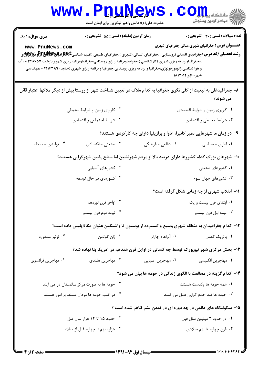| WWW                                                                                                                             | حضرت علی(ع): دانش راهبر نیکویی برای ایمان است                                                                                                                                                                                                                                                                                                                 | <u>QUNSWS</u>                                                               | دانشکا ه پیا با م <mark>ی</mark> ر<br>رِ آرمون وسنڊش   |  |
|---------------------------------------------------------------------------------------------------------------------------------|---------------------------------------------------------------------------------------------------------------------------------------------------------------------------------------------------------------------------------------------------------------------------------------------------------------------------------------------------------------|-----------------------------------------------------------------------------|--------------------------------------------------------|--|
| <b>سری سوال : ۱ یک</b>                                                                                                          | زمان آزمون (دقیقه) : تستی : 55 آتشریحی : 0                                                                                                                                                                                                                                                                                                                    |                                                                             | <b>تعداد سوالات : تستی : 30 ٪ تشریحی : 0</b>           |  |
| www.PnuNews.com                                                                                                                 | <b>رشته تحصیلی/کد درس:</b> جغرافیای انسانی (روستایی )،جغرافیای انسانی (شهری )،جغرافیای طبیعی (اقلیم شناسیجهافیایاتیالاتیاللا<br>)،جغرافیاوبرنامه ریزی شهری (کارشناسی )،جغرافیاوبرنامه ریزی روستایی،جغرافیاوبرنامه ریزی شهری(ارشد) ۱۲۱۶۰۵۷ - ،آب<br>و هوا شناسی،ژئومورفولوژی،جغرافیا و برنامه ریزی روستایی،جغرافیا و برنامه ریزی شهری (جدید) ۱۲۱۶۳۸۹ - ،مهندسی | شهرسازی۱۸۱۳۰۱۲                                                              | <b>عنـــوان درس:</b> جغرافیای شهری،مبانی جغرافیای شهری |  |
| ۸– جغرافیدانان به تبعیت از کلی نگری جغرافیا به کدام ملاک در تعیین شناخت شهر از روستا بیش از دیگر ملاکها اعتبار قائل<br>می شوند؟ |                                                                                                                                                                                                                                                                                                                                                               |                                                                             |                                                        |  |
|                                                                                                                                 | ۰۲ کاربری زمین و شرایط محیطی                                                                                                                                                                                                                                                                                                                                  |                                                                             | ۰۱ کاربری زمین و شرایط اقتصادی                         |  |
|                                                                                                                                 | ۰۴ شرایط اجتماعی و اقتصادی                                                                                                                                                                                                                                                                                                                                    |                                                                             | ۰۳ شرایط محیطی و اقتصادی                               |  |
|                                                                                                                                 |                                                                                                                                                                                                                                                                                                                                                               | ۹- در زمان ما شهرهایی نظیر کانبرا، اتاوا و برازیلیا دارای چه کارکردی هستند؟ |                                                        |  |
| ۰۴ تولیدی - مبادله                                                                                                              | ۰۳ صنعتی - اقتصادی                                                                                                                                                                                                                                                                                                                                            | ۲. دفاعی - فرهنگی                                                           | ۰۱ اداری - سیاسی                                       |  |
|                                                                                                                                 | ۱۰– شهرهای بزرگ کدام کشورها دارای درصد بالا از مردم شهرنشین اما سطح پایین شهرگرایی هستند؟                                                                                                                                                                                                                                                                     |                                                                             |                                                        |  |
|                                                                                                                                 | ۰۲ کشورهای آسیایی                                                                                                                                                                                                                                                                                                                                             |                                                                             | ۰۱ کشورهای صنعتی                                       |  |
|                                                                                                                                 | ۰۴ کشورهای در حال توسعه                                                                                                                                                                                                                                                                                                                                       |                                                                             | ۰۳ کشورهای جهان سوم                                    |  |
|                                                                                                                                 |                                                                                                                                                                                                                                                                                                                                                               |                                                                             | 11- انقلاب شهری از چه زمانی شکل گرفته است؟             |  |
|                                                                                                                                 | ۰۲ اواخر قرن نوزدهم                                                                                                                                                                                                                                                                                                                                           |                                                                             | ۰۱ ابتدای قرن بیست و یکم                               |  |
|                                                                                                                                 | ۰۴ نیمه دوم قرن بیستم                                                                                                                                                                                                                                                                                                                                         |                                                                             | ۰۳ نیمه اول قرن بیستم                                  |  |
|                                                                                                                                 | ۱۲– کدام جغرافیدان به منطقه شهری وسیع و گسترده از بوستون تا واشنگتن عنوان مگالاپلیس داده است؟                                                                                                                                                                                                                                                                 |                                                                             |                                                        |  |
| ۰۴ لوئيز مامفورد                                                                                                                | ۰۳ ژان گوتمن                                                                                                                                                                                                                                                                                                                                                  | ۰۲ آبراهام چارلز                                                            | ۰۱. پاتریک گدس                                         |  |
|                                                                                                                                 | ۱۳- بخش مرکزی شهر نیویورک توسط چه کسانی در اوایل قرن هفدهم در آمریکا بنا نهاده شد؟                                                                                                                                                                                                                                                                            |                                                                             |                                                        |  |
| ۰۴ مهاجرین فرانسوی                                                                                                              | ۰۳ مهاجرین هلندی                                                                                                                                                                                                                                                                                                                                              | ۰۲ مهاجرین آسیایی                                                           | ٠١ مهاجرين انگليسي                                     |  |
|                                                                                                                                 |                                                                                                                                                                                                                                                                                                                                                               | ۱۴– کدام گزینه در مخالفت با الگوی زندگی در حومه ها بیان می شود؟             |                                                        |  |
|                                                                                                                                 | ۰۲ حومه ها به صورت مرکز سالمندان در می آیند                                                                                                                                                                                                                                                                                                                   | ٠١. همه حومه ها يكدست هستند                                                 |                                                        |  |
| ۰۴ در اغلب حومه ها مردان مسلط بر امور هستند                                                                                     |                                                                                                                                                                                                                                                                                                                                                               | ۰۳ حومه ها ضد جمع گرایی عمل می کنند                                         |                                                        |  |
| ۱۵- سکونتگاه های دائمی در چه دوره ای در تمدن بشر ظاهر شده است ؟                                                                 |                                                                                                                                                                                                                                                                                                                                                               |                                                                             |                                                        |  |
|                                                                                                                                 | ۰۲ حدود ۱۵ تا ۱۲ هزار سال قبل                                                                                                                                                                                                                                                                                                                                 |                                                                             | ۰۱ در حدود ۲ میلیون سال قبل                            |  |
|                                                                                                                                 | ۰۴ هزاره نهم تا چهارم قبل از میلاد                                                                                                                                                                                                                                                                                                                            |                                                                             | ۰۳ قرن چهارم تا نهم میلادی                             |  |

صفحه 2 از 4 =

1.1./1.1.635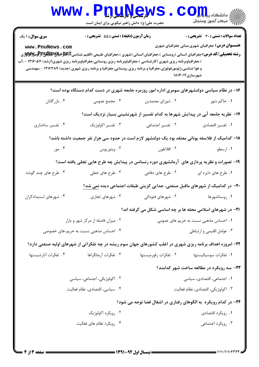|                                                                                                                                                              | <b>www.PDTWGWS</b><br>حضرت علی(ع): دانش راهبر نیکویی برای ایمان است                                                                                     |                      | الاد دانشڪاء پيا <mark>۽ بار</mark><br>الا سرڪز آزمون وسنڊش                                                              |  |
|--------------------------------------------------------------------------------------------------------------------------------------------------------------|---------------------------------------------------------------------------------------------------------------------------------------------------------|----------------------|--------------------------------------------------------------------------------------------------------------------------|--|
| <b>سری سوال : ۱ یک</b><br>www.PnuNews.com<br>)،جغرافیاوبرنامه ریزی شهری (کارشناسی )،جغرافیاوبرنامه ریزی روستایی،جغرافیاوبرنامه ریزی شهری(ارشد) ۱۲۱۶۰۵۷ - ،آب | زمان آزمون (دقیقه) : تستی : 55 تشریحی : 0<br>و هوا شناسی،ژئومورفولوژی،جغرافیا و برنامه ریزی روستایی،جغرافیا و برنامه ریزی شهری (جدید) ۱۲۱۶۳۸۹ - ،مهندسی |                      | <b>تعداد سوالات : تستی : 30 ٪ تشریحی : 0</b><br><b>عنـــوان درس:</b> جغرافیای شهری،مبانی جغرافیای شهری<br>شهرسازی۱۸۱۳۰۱۲ |  |
|                                                                                                                                                              |                                                                                                                                                         |                      | ۱۶– در نظام سیاسی دولتشهرهای سومری اداره امور روزمره جامعه شهری در دست کدام دستگاه بوده است؟                             |  |
| ۰۴ بازرگانان                                                                                                                                                 | ۰۳ مجمع عمومی                                                                                                                                           | ۰۲ شورای معتمدین     | ۱. حاکم شهر                                                                                                              |  |
|                                                                                                                                                              |                                                                                                                                                         |                      | ۱۷– نظریه جامعه آبی در پیدایش شهرها به کدام تفسیر از شهرنشینی بسیار نزدیک است؟                                           |  |
| ۰۴ تفسیر ساختاری                                                                                                                                             | ۰۳ تفسیر اکولوژیک                                                                                                                                       | ۰۲ تفسیر اجتماعی     | ٠١ تفسير اقتصادى                                                                                                         |  |
|                                                                                                                                                              |                                                                                                                                                         |                      | ۱۸– کدامیک از فلاسفه یونانی معتقد بود یک دولتشهر لازم است در حدود سی هزار نفر جمعیت داشته باشد؟                          |  |
| ۰۴ مور                                                                                                                                                       | ۰۳ ویتوریوس                                                                                                                                             | ۰۲ افلاطون           | ۰۱ ارسطو                                                                                                                 |  |
| ۱۹- تصورات و نظریه پردازی های آرمانشهری دوره رنسانس در پیدایش چه طرح هایی تجلی یافته است؟                                                                    |                                                                                                                                                         |                      |                                                                                                                          |  |
| ۰۴ طرح های چند گوشه                                                                                                                                          | ۰۳ طرح های خطی                                                                                                                                          | ۰۲ طرح های دفاعی     | ۰۱ طرح های دایره ای                                                                                                      |  |
|                                                                                                                                                              |                                                                                                                                                         |                      | ۲۰– در کدامیک از شهرهای ماقبل صنعتی، جدایی گزینی طبقات اجتماعی دیده نمی شد؟                                              |  |
| ۰۴ شهرهای استبدادگران                                                                                                                                        | ۰۳ شهرهای تجاری                                                                                                                                         | ۰۲ شهرهای فئودالی    | ۰۱ روستاشهرها                                                                                                            |  |
|                                                                                                                                                              |                                                                                                                                                         |                      | <b>۲۱</b> - در شهرهای اسلامی محله ها بر چه اساسی شکل می گرفته اند؟                                                       |  |
| ۰۲ میزان فاصله از مرکز شهر و بازار<br>۰۱ احساس مذهبی نسبت به حریم های عمومی                                                                                  |                                                                                                                                                         |                      |                                                                                                                          |  |
|                                                                                                                                                              | ۰۴ احساس مذهبی نسبت به حریم های خصوصی                                                                                                                   |                      | ۰۳ عوامل اقلیمی و ارتباطی                                                                                                |  |
|                                                                                                                                                              |                                                                                                                                                         |                      | ۲۲- امروزه اهداف برنامه ریزی شهری در اغلب کشورهای جهان سوم ریشه در چه تفکراتی از شهرهای اولیه صنعتی دارد؟                |  |
| ۰۴ تفكرات آنارشيستها                                                                                                                                         | ۰۳ تفکرات آرمانگراها                                                                                                                                    | ۰۲ تفکرات رفورمیستها | ۰۱ تفکرات سوسیالیستها                                                                                                    |  |
|                                                                                                                                                              |                                                                                                                                                         |                      | ۲۳- سه رویکرد در مطالعه ساخت شهر کدامند؟                                                                                 |  |
| ۰۲ اکولوژیکی، اجتماعی، سیاسی                                                                                                                                 |                                                                                                                                                         |                      | ٠١ اجتماعي، اقتصادي، سياسي                                                                                               |  |
|                                                                                                                                                              | ۰۴ سیاسی، اقتصادی، نظام فعالیت                                                                                                                          |                      | ۰۳ اکولوژیکی، اقتصادی، نظام فعالیت                                                                                       |  |
| ۲۴- در کدام رویکرد به الگوهای رفتاری در اشغال فضا توجه می شود؟                                                                                               |                                                                                                                                                         |                      |                                                                                                                          |  |
|                                                                                                                                                              | ۰۲ رويکرد اکولوژيک                                                                                                                                      |                      | ۰۱ رویکرد اقتصادی                                                                                                        |  |
|                                                                                                                                                              | ۰۴ رویکرد نظام های فعالیت                                                                                                                               |                      | ۰۳ رویکرد اجتماعی                                                                                                        |  |